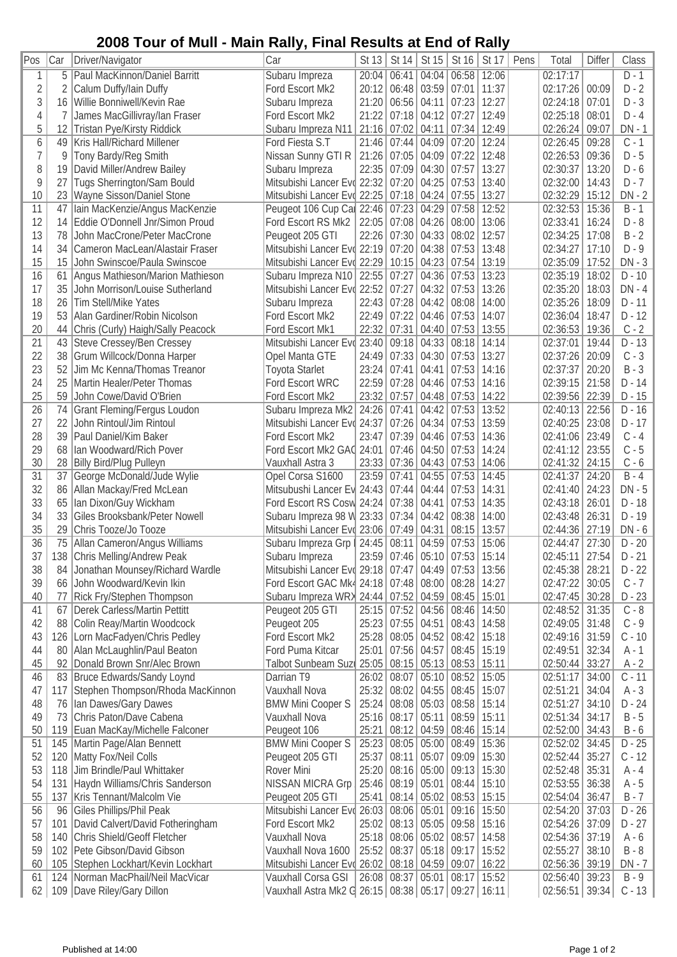## **2008 Tour of Mull - Main Rally, Final Results at End of Rally**

|                |     |                                     | 1112111 11211 1131 1112 1120 2112                          |       |               |                   |                               |       |      |                  |               |          |
|----------------|-----|-------------------------------------|------------------------------------------------------------|-------|---------------|-------------------|-------------------------------|-------|------|------------------|---------------|----------|
| Pos            | Car | Driver/Navigator                    | Car                                                        | St 13 |               | St 14   St 15     | St 16                         | St 17 | Pens | Total            | <b>Differ</b> | Class    |
| 1              | 5   | Paul MacKinnon/Daniel Barritt       | Subaru Impreza                                             | 20:04 | 06:41         | 04:04             | 06:58                         | 12:06 |      | 02:17:17         |               | $D - 1$  |
| $\overline{2}$ | 2   | Calum Duffy/Iain Duffy              | Ford Escort Mk2                                            | 20:12 | 06:48         | 03:59             | 07:01                         | 11:37 |      | 02:17:26         | 00:09         | $D - 2$  |
| 3              | 16  | Willie Bonniwell/Kevin Rae          | Subaru Impreza                                             | 21:20 | 06:56         | 04:11             | 07:23                         | 12:27 |      | 02:24:18         | 07:01         | $D - 3$  |
| $\overline{4}$ | 7   | James MacGillivray/lan Fraser       | Ford Escort Mk2                                            | 21:22 |               | $07:18$ 04:12     | 07:27                         | 12:49 |      | 02:25:18         | 08:01         | $D - 4$  |
| 5              | 12  | Tristan Pye/Kirsty Riddick          | Subaru Impreza N11                                         | 21:16 | 07:02         | 04:11             | 07:34                         | 12:49 |      | 02:26:24         | 09:07         | $DN - 1$ |
| 6              | 49  | Kris Hall/Richard Millener          | Ford Fiesta S.T                                            | 21:46 | 07:44         | 04:09             | 07:20                         | 12:24 |      | 02:26:45         | 09:28         | $C - 1$  |
| $\overline{7}$ | 9   | Tony Bardy/Reg Smith                | Nissan Sunny GTI R                                         | 21:26 | 07:05         | 04:09             | 07:22                         | 12:48 |      | 02:26:53         | 09:36         | $D - 5$  |
| 8              | 19  | David Miller/Andrew Bailey          | Subaru Impreza                                             | 22:35 | 07:09         | 04:30             | 07:57                         | 13:27 |      | 02:30:37         | 13:20         | $D - 6$  |
| 9              | 27  | Tugs Sherrington/Sam Bould          | Mitsubishi Lancer Evd 22:32                                |       | $07:20$ 04:25 |                   | 07:53                         | 13:40 |      | 02:32:00         | 14:43         | $D - 7$  |
| 10             | 23  | Wayne Sisson/Daniel Stone           | Mitsubishi Lancer Evd 22:25                                |       |               | $07:18$ 04:24     | 07:55                         | 13:27 |      | 02:32:29         | 15:12         | $DN - 2$ |
| 11             | 47  |                                     |                                                            |       | 07:23         | 04:29             | 07:58                         | 12:52 |      | 02:32:53         | 15:36         | $B - 1$  |
|                |     | Iain MacKenzie/Angus MacKenzie      | Peugeot 106 Cup Cal 22:46                                  |       |               |                   |                               |       |      |                  |               |          |
| 12             | 14  | Eddie O'Donnell Jnr/Simon Proud     | Ford Escort RS Mk2                                         | 22:05 | 07:08         | 04:26             | 08:00                         | 13:06 |      | 02:33:41         | 16:24         | $D - 8$  |
| 13             | 78  | John MacCrone/Peter MacCrone        | Peugeot 205 GTI                                            | 22:26 | 07:30         | 04:33             | 08:02                         | 12:57 |      | 02:34:25         | 17:08         | $B - 2$  |
| 14             | 34  | Cameron MacLean/Alastair Fraser     | Mitsubishi Lancer Evo 22:19                                |       | 07:20         | 04:38             | 07:53                         | 13:48 |      | 02:34:27         | 17:10         | $D - 9$  |
| 15             | 15  | John Swinscoe/Paula Swinscoe        | Mitsubishi Lancer Evd 22:29                                |       |               | $10:15$ 04:23     | 07:54                         | 13:19 |      | 02:35:09         | 17:52         | $DN - 3$ |
| 16             | 61  | Angus Mathieson/Marion Mathieson    | Subaru Impreza N10   22:55                                 |       | 07:27         | 04:36             | 07:53                         | 13:23 |      | 02:35:19         | 18:02         | $D - 10$ |
| 17             | 35  | John Morrison/Louise Sutherland     | Mitsubishi Lancer Evd 22:52                                |       | 07:27         | 04:32             | 07:53                         | 13:26 |      | 02:35:20         | 18:03         | $DN - 4$ |
| 18             | 26  | Tim Stell/Mike Yates                | Subaru Impreza                                             | 22:43 | 07:28         | 04:42             | 08:08                         | 14:00 |      | 02:35:26         | 18:09         | $D - 11$ |
| 19             | 53  | Alan Gardiner/Robin Nicolson        | Ford Escort Mk2                                            | 22:49 | 07:22         | 04:46             | 07:53                         | 14:07 |      | 02:36:04         | 18:47         | $D - 12$ |
| 20             | 44  | Chris (Curly) Haigh/Sally Peacock   | Ford Escort Mk1                                            | 22:32 | 07:31         | 04:40             | 07:53                         | 13:55 |      | 02:36:53         | 19:36         | $C - 2$  |
| 21             | 43  | Steve Cressey/Ben Cressey           | Mitsubishi Lancer Evo 23:40                                |       | 09:18         | 04:33             | 08:18                         | 14:14 |      | 02:37:01         | 19:44         | $D - 13$ |
| 22             | 38  | Grum Willcock/Donna Harper          | Opel Manta GTE                                             | 24:49 |               | 07:33 04:30       | 07:53                         | 13:27 |      | 02:37:26         | 20:09         | $C - 3$  |
| 23             | 52  | Jim Mc Kenna/Thomas Treanor         | <b>Toyota Starlet</b>                                      | 23:24 | 07:41         | 04:41             | 07:53                         | 14:16 |      | 02:37:37         | 20:20         | $B - 3$  |
| 24             | 25  | Martin Healer/Peter Thomas          | Ford Escort WRC                                            | 22:59 | 07:28         | 04:46             | 07:53                         | 14:16 |      | 02:39:15         | 21:58         | $D - 14$ |
| 25             | 59  | John Cowe/David O'Brien             | Ford Escort Mk2                                            | 23:32 | 07:57         |                   | $04:48$ 07:53                 | 14:22 |      | 02:39:56   22:39 |               | $D - 15$ |
| 26             | 74  | Grant Fleming/Fergus Loudon         | Subaru Impreza Mk2                                         | 24:26 | 07:41         | 04:42             | 07:53                         | 13:52 |      | 02:40:13         | 22:56         | $D - 16$ |
| 27             |     |                                     |                                                            |       |               |                   |                               |       |      |                  |               | $D - 17$ |
|                | 22  | John Rintoul/Jim Rintoul            | Mitsubishi Lancer Evo 24:37                                |       | 07:26         | 04:34             | 07:53                         | 13:59 |      | 02:40:25         | 23:08         |          |
| 28             | 39  | Paul Daniel/Kim Baker               | Ford Escort Mk2                                            | 23:47 | 07:39         | 04:46             | 07:53                         | 14:36 |      | 02:41:06         | 23:49         | $C - 4$  |
| 29             | 68  | Ian Woodward/Rich Pover             | Ford Escort Mk2 GAC 24:01                                  |       | 07:46         | 04:50             | 07:53                         | 14:24 |      | 02:41:12         | 23:55         | $C - 5$  |
| 30             | 28  | <b>Billy Bird/Plug Pulleyn</b>      | Vauxhall Astra 3                                           | 23:33 |               | $07:36$ 04:43     | 07:53                         | 14:06 |      | 02:41:32 24:15   |               | $C - 6$  |
| 31             | 37  | George McDonald/Jude Wylie          | Opel Corsa S1600                                           | 23:59 | 07:41         | 04:55             | 07:53                         | 14:45 |      | 02:41:37         | 24:20         | $B - 4$  |
| 32             | 86  | Allan Mackay/Fred McLean            | Mitsubushi Lancer Ev 24:43                                 |       | 07:44         | 04:44             | 07:53                         | 14:31 |      | 02:41:40         | 24:23         | $DN - 5$ |
| 33             | 65  | Ian Dixon/Guy Wickham               | Ford Escort RS Cosw 24:24                                  |       | 07:38         | 04:41             | 07:53                         | 14:35 |      | 02:43:18         | 26:01         | $D - 18$ |
| 34             | 33  | Giles Brooksbank/Peter Nowell       | Subaru Impreza 98 W 23:33                                  |       | 07:34         | 04:42             | 08:38                         | 14:00 |      | 02:43:48         | 26:31         | $D - 19$ |
| 35             | 29  | Chris Tooze/Jo Tooze                | Mitsubishi Lancer Evd 23:06   07:49   04:31                |       |               |                   | 08:15                         | 13:57 |      | 02:44:36         | 27:19         | $DN - 6$ |
| 36             | 75  | Allan Cameron/Angus Williams        | Subaru Impreza Grp   24:45   08:11   04:59                 |       |               |                   | 07:53                         | 15:06 |      | 02:44:47         | 27:30         | $D - 20$ |
| 37             |     | 138 Chris Melling/Andrew Peak       | Subaru Impreza                                             |       |               |                   | 23:59 07:46 05:10 07:53 15:14 |       |      | $02:45:11$ 27:54 |               | $D - 21$ |
| 38             | 84  | Jonathan Mounsey/Richard Wardle     | Mitsubishi Lancer Evd 29:18   07:47                        |       |               | 04:49             | 07:53                         | 13:56 |      | 02:45:38         | 28:21         | $D - 22$ |
| 39             | 66  | John Woodward/Kevin Ikin            | Ford Escort GAC Mk4 24:18 07:48 08:00                      |       |               |                   | 08:28                         | 14:27 |      | 02:47:22         | 30:05         | $C - 7$  |
| 40             | 77  | Rick Fry/Stephen Thompson           | Subaru Impreza WRX 24:44   07:52   04:59                   |       |               |                   | 08:45                         | 15:01 |      | 02:47:45         | 30:28         | D - 23   |
| 41             | 67  | Derek Carless/Martin Pettitt        | Peugeot 205 GTI                                            |       |               | 25:15 07:52 04:56 | 08:46                         | 14:50 |      | 02:48:52         | 31:35         | $C - 8$  |
| 42             | 88  | Colin Reay/Martin Woodcock          | Peugeot 205                                                | 25:23 | $07:55$ 04:51 |                   | 08:43                         | 14:58 |      | 02:49:05         | 31:48         | $C - 9$  |
| 43             | 126 | Lorn MacFadyen/Chris Pedley         | Ford Escort Mk2                                            | 25:28 |               | 08:05 04:52       | 08:42                         | 15:18 |      | 02:49:16         | 31:59         | $C - 10$ |
|                |     |                                     | Ford Puma Kitcar                                           | 25:01 |               | 07:56 04:57       | 08:45                         | 15:19 |      |                  | 32:34         |          |
| 44             | 80  | Alan McLaughlin/Paul Beaton         |                                                            |       |               |                   |                               |       |      | 02:49:51         |               | A - 1    |
| 45             | 92  | Donald Brown Snr/Alec Brown         | Talbot Sunbeam Suzu 25:05                                  |       |               | $08:15$ 05:13     | 08:53                         | 15:11 |      | 02:50:44 33:27   |               | $A - 2$  |
| 46             |     | 83 Bruce Edwards/Sandy Loynd        | Darrian T9                                                 | 26:02 |               | 08:07 05:10       | 08:52                         | 15:05 |      | 02:51:17         | 34:00         | $C - 11$ |
| 47             | 117 | Stephen Thompson/Rhoda MacKinnon    | Vauxhall Nova                                              | 25:32 |               | 08:02 04:55       | 08:45                         | 15:07 |      | 02:51:21         | 34:04         | $A - 3$  |
| 48             | 76  | Ian Dawes/Gary Dawes                | <b>BMW Mini Cooper S</b>                                   | 25:24 |               | 08:08 05:03       | 08:58                         | 15:14 |      | 02:51:27         | 34:10         | D - 24   |
| 49             | 73  | Chris Paton/Dave Cabena             | Vauxhall Nova                                              | 25:16 | 08:17         | 05:11             | 08:59                         | 15:11 |      | 02:51:34 34:17   |               | $B - 5$  |
| 50             | 119 | Euan MacKay/Michelle Falconer       | Peugeot 106                                                | 25:21 |               | 08:12 04:59       | 08:46                         | 15:14 |      | 02:52:00 34:43   |               | $B - 6$  |
| 51             | 145 | Martin Page/Alan Bennett            | <b>BMW Mini Cooper S</b>                                   | 25:23 |               | 08:05   05:00     | 08:49                         | 15:36 |      | 02:52:02         | 34:45         | $D - 25$ |
| 52             | 120 | Matty Fox/Neil Colls                | Peugeot 205 GTI                                            | 25:37 | 08:11         | 05:07             | 09:09                         | 15:30 |      | 02:52:44         | 35:27         | $C - 12$ |
| 53             | 118 | Jim Brindle/Paul Whittaker          | Rover Mini                                                 | 25:20 |               | 08:16 05:00       | 09:13                         | 15:30 |      | 02:52:48         | 35:31         | A - 4    |
| 54             | 131 | Haydn Williams/Chris Sanderson      | <b>NISSAN MICRA Grp</b>                                    | 25:46 | 08:19 05:01   |                   | 08:44                         | 15:10 |      | 02:53:55         | 36:38         | A - 5    |
| 55             | 137 | Kris Tennant/Malcolm Vie            | Peugeot 205 GTI                                            | 25:41 |               | $08:14$ 05:02     | $08:53$ 15:15                 |       |      | 02:54:04         | 36:47         | $B - 7$  |
| 56             | 96  | Giles Phillips/Phil Peak            | Mitsubishi Lancer Evo 26:03                                |       | 08:06 05:01   |                   | 09:16                         | 15:50 |      | 02:54:20         | 37:03         | $D - 26$ |
| 57             | 101 | David Calvert/David Fotheringham    | Ford Escort Mk2                                            | 25:02 |               | $08:13$ 05:05     | 09:58                         | 15:16 |      | 02:54:26         | 37:09         | D - 27   |
| 58             | 140 | Chris Shield/Geoff Fletcher         | Vauxhall Nova                                              | 25:18 |               | $08:06$ 05:02     | 08:57                         | 14:58 |      | 02:54:36         | 37:19         | $A - 6$  |
| 59             |     | 102 Pete Gibson/David Gibson        | Vauxhall Nova 1600                                         | 25:52 |               | $08:37$ 05:18     | $09:17$ 15:52                 |       |      | 02:55:27         | 38:10         | B - 8    |
|                |     |                                     |                                                            |       |               |                   |                               |       |      |                  |               |          |
| 60             |     | 105 Stephen Lockhart/Kevin Lockhart | Mitsubishi Lancer Evo 26:02   08:18   04:59                |       |               |                   | 09:07                         | 16:22 |      | 02:56:36 39:19   |               | $DN - 7$ |
| 61             |     | 124   Norman MacPhail/Neil MacVicar | Vauxhall Corsa GSI                                         |       |               | 26:08 08:37 05:01 | $08:17$ 15:52                 |       |      | 02:56:40 39:23   |               | $B - 9$  |
| 62             |     | 109 Dave Riley/Gary Dillon          | Vauxhall Astra Mk2 G 26:15   08:38   05:17   09:27   16:11 |       |               |                   |                               |       |      | $02:56:51$ 39:34 |               | $C - 13$ |